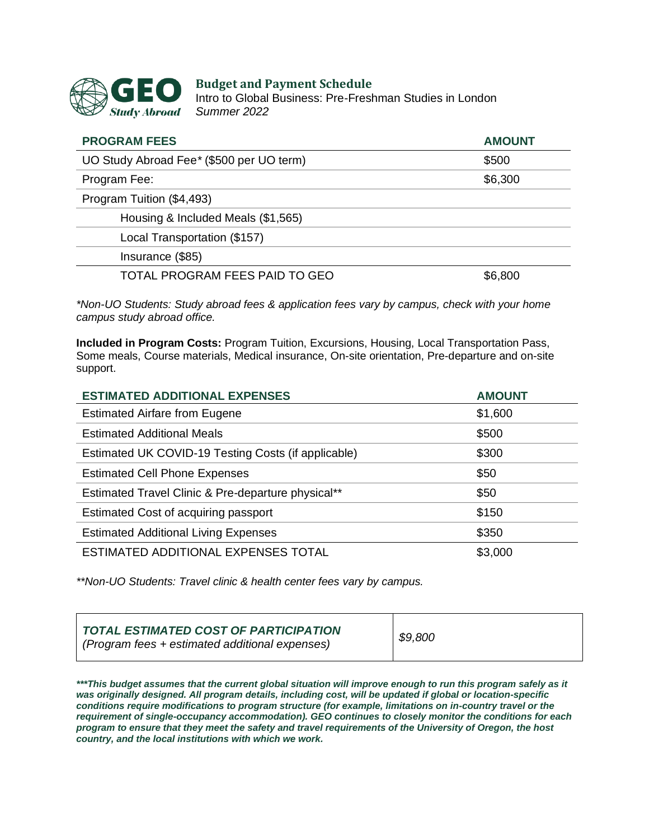

#### **Budget and Payment Schedule**

Intro to Global Business: Pre-Freshman Studies in London *Summer 2022*

| <b>PROGRAM FEES</b>                       | <b>AMOUNT</b> |
|-------------------------------------------|---------------|
| UO Study Abroad Fee * (\$500 per UO term) | \$500         |
| Program Fee:                              | \$6,300       |
| Program Tuition (\$4,493)                 |               |
| Housing & Included Meals (\$1,565)        |               |
| Local Transportation (\$157)              |               |
| Insurance (\$85)                          |               |
| TOTAL PROGRAM FEES PAID TO GEO            | \$6,800       |

*\*Non-UO Students: Study abroad fees & application fees vary by campus, check with your home campus study abroad office.*

**Included in Program Costs:** Program Tuition, Excursions, Housing, Local Transportation Pass, Some meals, Course materials, Medical insurance, On-site orientation, Pre-departure and on-site support.

| <b>ESTIMATED ADDITIONAL EXPENSES</b>                | <b>AMOUNT</b> |
|-----------------------------------------------------|---------------|
| <b>Estimated Airfare from Eugene</b>                | \$1,600       |
| <b>Estimated Additional Meals</b>                   | \$500         |
| Estimated UK COVID-19 Testing Costs (if applicable) | \$300         |
| <b>Estimated Cell Phone Expenses</b>                | \$50          |
| Estimated Travel Clinic & Pre-departure physical**  | \$50          |
| Estimated Cost of acquiring passport                | \$150         |
| <b>Estimated Additional Living Expenses</b>         | \$350         |
| ESTIMATED ADDITIONAL EXPENSES TOTAL                 | \$3,000       |

*\*\*Non-UO Students: Travel clinic & health center fees vary by campus.*

| <b>TOTAL ESTIMATED COST OF PARTICIPATION</b><br>( <i>Program fees + estimated additional expenses</i> ) | \$9,800 |
|---------------------------------------------------------------------------------------------------------|---------|
|---------------------------------------------------------------------------------------------------------|---------|

*\*\*\*This budget assumes that the current global situation will improve enough to run this program safely as it was originally designed. All program details, including cost, will be updated if global or location-specific conditions require modifications to program structure (for example, limitations on in-country travel or the requirement of single-occupancy accommodation). GEO continues to closely monitor the conditions for each program to ensure that they meet the safety and travel requirements of the University of Oregon, the host country, and the local institutions with which we work.*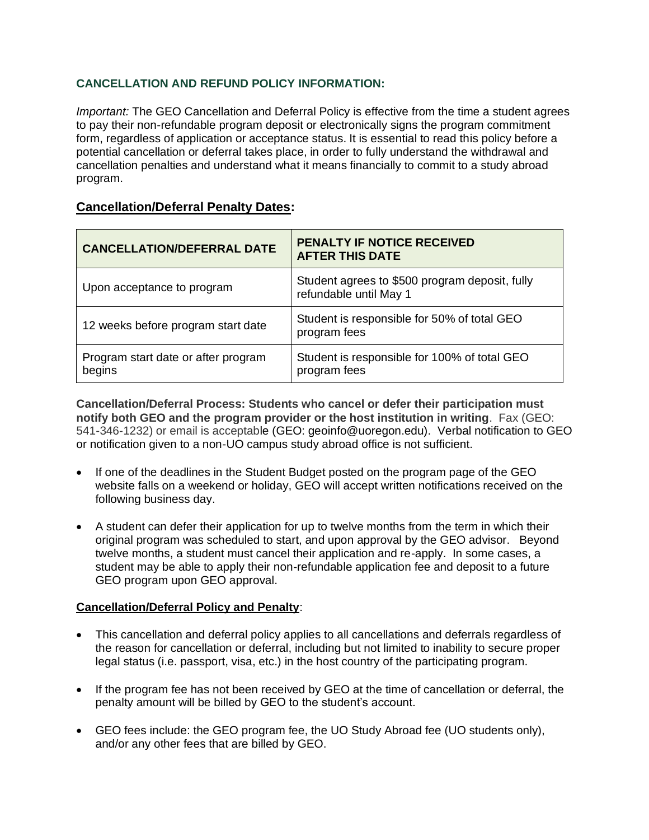## **CANCELLATION AND REFUND POLICY INFORMATION:**

*Important:* The GEO Cancellation and Deferral Policy is effective from the time a student agrees to pay their non-refundable program deposit or electronically signs the program commitment form, regardless of application or acceptance status. It is essential to read this policy before a potential cancellation or deferral takes place, in order to fully understand the withdrawal and cancellation penalties and understand what it means financially to commit to a study abroad program.

# **Cancellation/Deferral Penalty Dates:**

| <b>CANCELLATION/DEFERRAL DATE</b>             | <b>PENALTY IF NOTICE RECEIVED</b><br><b>AFTER THIS DATE</b>              |
|-----------------------------------------------|--------------------------------------------------------------------------|
| Upon acceptance to program                    | Student agrees to \$500 program deposit, fully<br>refundable until May 1 |
| 12 weeks before program start date            | Student is responsible for 50% of total GEO<br>program fees              |
| Program start date or after program<br>begins | Student is responsible for 100% of total GEO<br>program fees             |

**Cancellation/Deferral Process: Students who cancel or defer their participation must notify both GEO and the program provider or the host institution in writing**. Fax (GEO: 541-346-1232) or email is acceptable (GEO: geoinfo@uoregon.edu). Verbal notification to GEO or notification given to a non-UO campus study abroad office is not sufficient.

- If one of the deadlines in the Student Budget posted on the program page of the GEO website falls on a weekend or holiday, GEO will accept written notifications received on the following business day.
- A student can defer their application for up to twelve months from the term in which their original program was scheduled to start, and upon approval by the GEO advisor. Beyond twelve months, a student must cancel their application and re-apply. In some cases, a student may be able to apply their non-refundable application fee and deposit to a future GEO program upon GEO approval.

## **Cancellation/Deferral Policy and Penalty**:

- This cancellation and deferral policy applies to all cancellations and deferrals regardless of the reason for cancellation or deferral, including but not limited to inability to secure proper legal status (i.e. passport, visa, etc.) in the host country of the participating program.
- If the program fee has not been received by GEO at the time of cancellation or deferral, the penalty amount will be billed by GEO to the student's account.
- GEO fees include: the GEO program fee, the UO Study Abroad fee (UO students only), and/or any other fees that are billed by GEO.